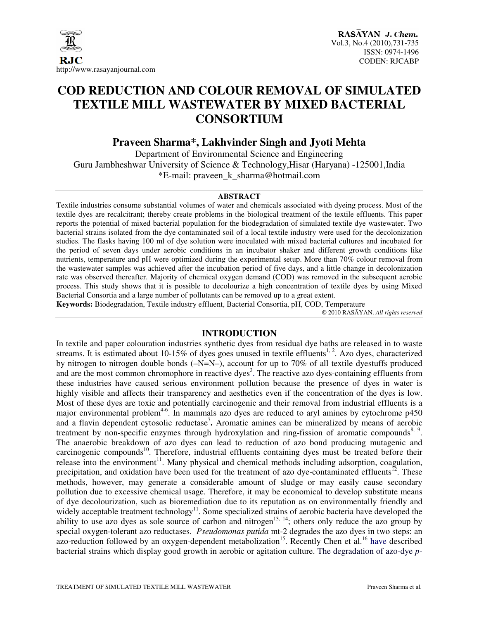

## **COD REDUCTION AND COLOUR REMOVAL OF SIMULATED TEXTILE MILL WASTEWATER BY MIXED BACTERIAL CONSORTIUM**

## **Praveen Sharma\*, Lakhvinder Singh and Jyoti Mehta**

Department of Environmental Science and Engineering Guru Jambheshwar University of Science & Technology,Hisar (Haryana) -125001,India \*E-mail: praveen\_k\_sharma@hotmail.com

#### **ABSTRACT**

Textile industries consume substantial volumes of water and chemicals associated with dyeing process. Most of the textile dyes are recalcitrant; thereby create problems in the biological treatment of the textile effluents. This paper reports the potential of mixed bacterial population for the biodegradation of simulated textile dye wastewater. Two bacterial strains isolated from the dye contaminated soil of a local textile industry were used for the decolonization studies. The flasks having 100 ml of dye solution were inoculated with mixed bacterial cultures and incubated for the period of seven days under aerobic conditions in an incubator shaker and different growth conditions like nutrients, temperature and pH were optimized during the experimental setup. More than 70% colour removal from the wastewater samples was achieved after the incubation period of five days, and a little change in decolonization rate was observed thereafter. Majority of chemical oxygen demand (COD) was removed in the subsequent aerobic process. This study shows that it is possible to decolourize a high concentration of textile dyes by using Mixed Bacterial Consortia and a large number of pollutants can be removed up to a great extent.

**Keywords:** Biodegradation, Textile industry effluent, Bacterial Consortia, pH, COD, Temperature

© 2010 RASĀYAN. *All rights reserved*

### **INTRODUCTION**

In textile and paper colouration industries synthetic dyes from residual dye baths are released in to waste streams. It is estimated about 10-15% of dyes goes unused in textile effluents<sup>1, 2</sup>. Azo dyes, characterized by nitrogen to nitrogen double bonds (–N=N–), account for up to 70% of all textile dyestuffs produced and are the most common chromophore in reactive dyes<sup>3</sup>. The reactive azo dyes-containing effluents from these industries have caused serious environment pollution because the presence of dyes in water is highly visible and affects their transparency and aesthetics even if the concentration of the dyes is low. Most of these dyes are toxic and potentially carcinogenic and their removal from industrial effluents is a major environmental problem<sup>4-6</sup>. In mammals azo dyes are reduced to aryl amines by cytochrome  $p450$ and a flavin dependent cytosolic reductase<sup>7</sup>. Aromatic amines can be mineralized by means of aerobic treatment by non-specific enzymes through hydroxylation and ring-fission of aromatic compounds<sup>8, 9</sup>. The anaerobic breakdown of azo dyes can lead to reduction of azo bond producing mutagenic and carcinogenic compounds<sup>10</sup>. Therefore, industrial effluents containing dyes must be treated before their release into the environment $11$ . Many physical and chemical methods including adsorption, coagulation, precipitation, and oxidation have been used for the treatment of azo dye-contaminated effluents<sup>12</sup>. These methods, however, may generate a considerable amount of sludge or may easily cause secondary pollution due to excessive chemical usage. Therefore, it may be economical to develop substitute means of dye decolourization, such as bioremediation due to its reputation as on environmentally friendly and widely acceptable treatment technology<sup>11</sup>. Some specialized strains of aerobic bacteria have developed the ability to use azo dyes as sole source of carbon and nitrogen<sup>13, 14</sup>; others only reduce the azo group by special oxygen-tolerant azo reductases. *Pseudomonas putida* mt-2 degrades the azo dyes in two steps: an azo-reduction followed by an oxygen-dependent metabolization<sup>15</sup>. Recently Chen et al.<sup>16</sup> have described bacterial strains which display good growth in aerobic or agitation culture. The degradation of azo-dye *p*-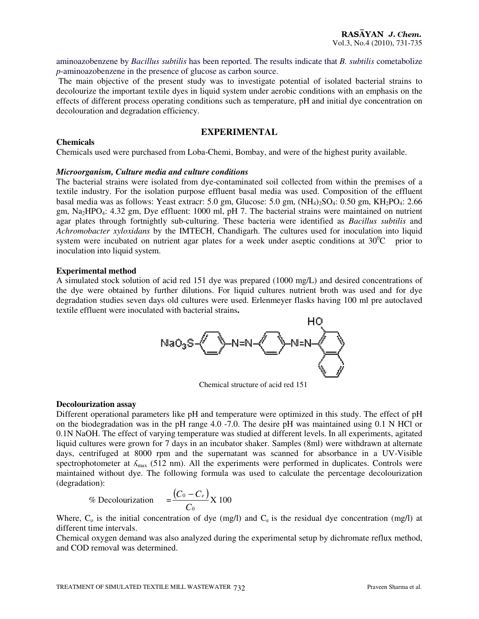aminoazobenzene by *Bacillus subtilis* has been reported. The results indicate that *B. subtilis* cometabolize *p*-aminoazobenzene in the presence of glucose as carbon source.

 The main objective of the present study was to investigate potential of isolated bacterial strains to decolourize the important textile dyes in liquid system under aerobic conditions with an emphasis on the effects of different process operating conditions such as temperature, pH and initial dye concentration on decolouration and degradation efficiency.

#### **EXPERIMENTAL**

#### **Chemicals**

Chemicals used were purchased from Loba-Chemi, Bombay, and were of the highest purity available.

#### *Microorganism, Culture media and culture conditions*

The bacterial strains were isolated from dye-contaminated soil collected from within the premises of a textile industry. For the isolation purpose effluent basal media was used. Composition of the effluent basal media was as follows: Yeast extracr: 5.0 gm, Glucose: 5.0 gm,  $(NH_4)_2SO_4$ : 0.50 gm,  $KH_2PO_4$ : 2.66 gm, Na2HPO4: 4.32 gm, Dye effluent: 1000 ml, pH 7. The bacterial strains were maintained on nutrient agar plates through fortnightly sub-culturing. These bacteria were identified as *Bacillus subtilis* and *Achromobacter xyloxidans* by the IMTECH, Chandigarh. The cultures used for inoculation into liquid system were incubated on nutrient agar plates for a week under aseptic conditions at  $30^{\circ}$ C prior to inoculation into liquid system.

#### **Experimental method**

A simulated stock solution of acid red 151 dye was prepared (1000 mg/L) and desired concentrations of the dye were obtained by further dilutions. For liquid cultures nutrient broth was used and for dye degradation studies seven days old cultures were used. Erlenmeyer flasks having 100 ml pre autoclaved textile effluent were inoculated with bacterial strains**.** 



Chemical structure of acid red 151

#### **Decolourization assay**

Different operational parameters like pH and temperature were optimized in this study. The effect of pH on the biodegradation was in the pH range 4.0 -7.0. The desire pH was maintained using 0.1 N HCl or 0.1N NaOH. The effect of varying temperature was studied at different levels. In all experiments, agitated liquid cultures were grown for 7 days in an incubator shaker. Samples (8ml) were withdrawn at alternate days, centrifuged at 8000 rpm and the supernatant was scanned for absorbance in a UV-Visible spectrophotometer at  $\Lambda_{\text{max}}$  (512 nm). All the experiments were performed in duplicates. Controls were maintained without dye. The following formula was used to calculate the percentage decolourization (degradation):

$$
\% \text{ Decolourization} = \frac{(C_0 - C_e)}{C_0} \text{X} 100
$$

Where,  $C_0$  is the initial concentration of dye (mg/l) and  $C_e$  is the residual dye concentration (mg/l) at different time intervals.

Chemical oxygen demand was also analyzed during the experimental setup by dichromate reflux method, and COD removal was determined.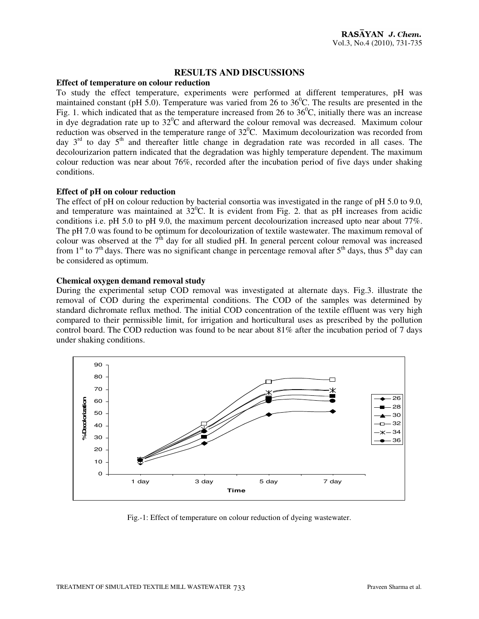#### **RESULTS AND DISCUSSIONS**

#### **Effect of temperature on colour reduction**

To study the effect temperature, experiments were performed at different temperatures, pH was maintained constant (pH  $\overline{5.0}$ ). Temperature was varied from 26 to 36<sup>0</sup>C. The results are presented in the Fig. 1. which indicated that as the temperature increased from 26 to  $36^{\circ}$ C, initially there was an increase in dye degradation rate up to  $32^{\circ}$ C and afterward the colour removal was decreased. Maximum colour reduction was observed in the temperature range of  $32^{\circ}$ C. Maximum decolourization was recorded from day  $3<sup>rd</sup>$  to day  $5<sup>th</sup>$  and thereafter little change in degradation rate was recorded in all cases. The decolourizarion pattern indicated that the degradation was highly temperature dependent. The maximum colour reduction was near about 76%, recorded after the incubation period of five days under shaking conditions.

#### **Effect of pH on colour reduction**

The effect of pH on colour reduction by bacterial consortia was investigated in the range of pH 5.0 to 9.0, and temperature was maintained at  $32^{\circ}$ C. It is evident from Fig. 2. that as pH increases from acidic conditions i.e. pH 5.0 to pH 9.0, the maximum percent decolourization increased upto near about 77%. The pH 7.0 was found to be optimum for decolourization of textile wastewater. The maximum removal of colour was observed at the  $7<sup>th</sup>$  day for all studied pH. In general percent colour removal was increased from 1<sup>st</sup> to 7<sup>th</sup> days. There was no significant change in percentage removal after 5<sup>th</sup> days, thus 5<sup>th</sup> day can be considered as optimum.

#### **Chemical oxygen demand removal study**

During the experimental setup COD removal was investigated at alternate days. Fig.3. illustrate the removal of COD during the experimental conditions. The COD of the samples was determined by standard dichromate reflux method. The initial COD concentration of the textile effluent was very high compared to their permissible limit, for irrigation and horticultural uses as prescribed by the pollution control board. The COD reduction was found to be near about 81% after the incubation period of 7 days under shaking conditions.



Fig.-1: Effect of temperature on colour reduction of dyeing wastewater.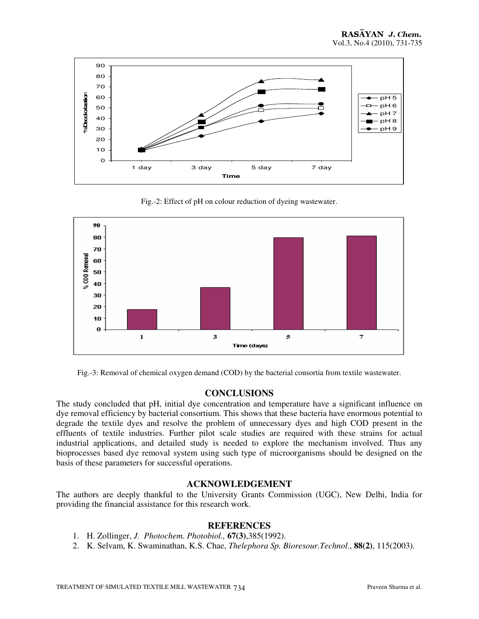

Fig.-2: Effect of pH on colour reduction of dyeing wastewater.



Fig.-3: Removal of chemical oxygen demand (COD) by the bacterial consortia from textile wastewater.

#### **CONCLUSIONS**

The study concluded that pH, initial dye concentration and temperature have a significant influence on dye removal efficiency by bacterial consortium. This shows that these bacteria have enormous potential to degrade the textile dyes and resolve the problem of unnecessary dyes and high COD present in the effluents of textile industries. Further pilot scale studies are required with these strains for actual industrial applications, and detailed study is needed to explore the mechanism involved. Thus any bioprocesses based dye removal system using such type of microorganisms should be designed on the basis of these parameters for successful operations.

### **ACKNOWLEDGEMENT**

The authors are deeply thankful to the University Grants Commission (UGC), New Delhi, India for providing the financial assistance for this research work.

#### **REFERENCES**

- 1. H. Zollinger, *J. Photochem. Photobiol.,* **67(3)**,385(1992).
- 2. K. Selvam, K. Swaminathan, K.S. Chae, *Thelephora Sp. Bioresour.Technol*., **88(2)**, 115(2003).